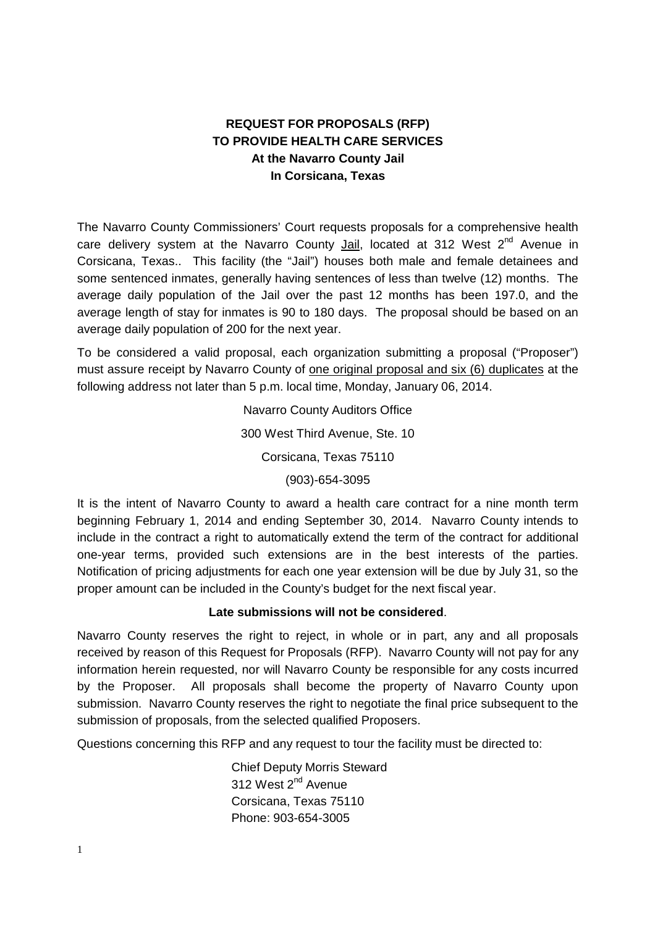# **REQUEST FOR PROPOSALS (RFP) TO PROVIDE HEALTH CARE SERVICES At the Navarro County Jail In Corsicana, Texas**

The Navarro County Commissioners' Court requests proposals for a comprehensive health care delivery system at the Navarro County Jail, located at 312 West 2<sup>nd</sup> Avenue in Corsicana, Texas.. This facility (the "Jail") houses both male and female detainees and some sentenced inmates, generally having sentences of less than twelve (12) months. The average daily population of the Jail over the past 12 months has been 197.0, and the average length of stay for inmates is 90 to 180 days. The proposal should be based on an average daily population of 200 for the next year.

To be considered a valid proposal, each organization submitting a proposal ("Proposer") must assure receipt by Navarro County of one original proposal and six (6) duplicates at the following address not later than 5 p.m. local time, Monday, January 06, 2014.

> Navarro County Auditors Office 300 West Third Avenue, Ste. 10 Corsicana, Texas 75110 (903)-654-3095

It is the intent of Navarro County to award a health care contract for a nine month term beginning February 1, 2014 and ending September 30, 2014. Navarro County intends to include in the contract a right to automatically extend the term of the contract for additional one-year terms, provided such extensions are in the best interests of the parties. Notification of pricing adjustments for each one year extension will be due by July 31, so the proper amount can be included in the County's budget for the next fiscal year.

### **Late submissions will not be considered**.

Navarro County reserves the right to reject, in whole or in part, any and all proposals received by reason of this Request for Proposals (RFP). Navarro County will not pay for any information herein requested, nor will Navarro County be responsible for any costs incurred by the Proposer. All proposals shall become the property of Navarro County upon submission. Navarro County reserves the right to negotiate the final price subsequent to the submission of proposals, from the selected qualified Proposers.

Questions concerning this RFP and any request to tour the facility must be directed to:

Chief Deputy Morris Steward 312 West 2<sup>nd</sup> Avenue Corsicana, Texas 75110 Phone: 903-654-3005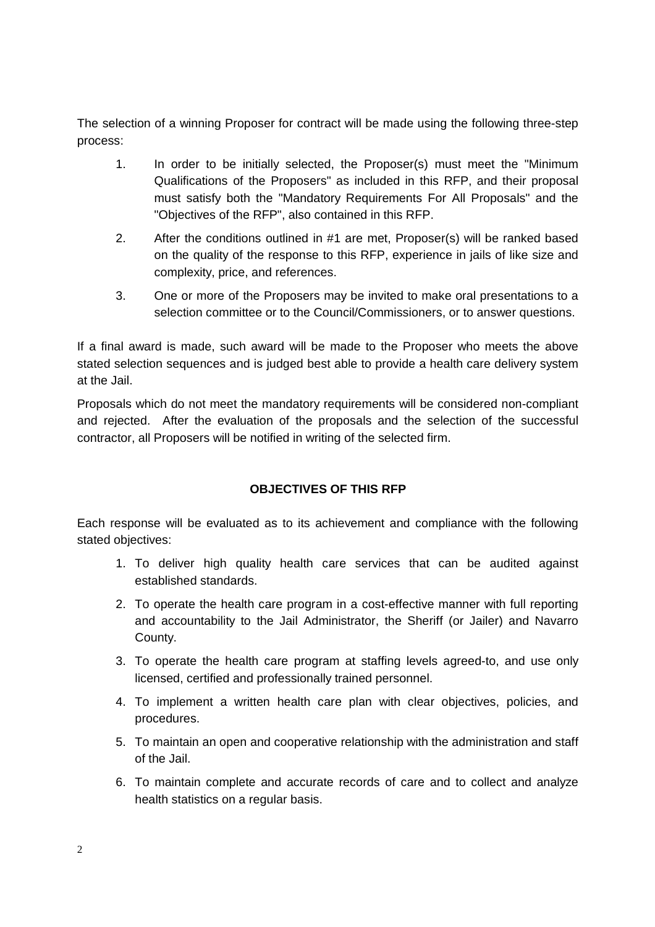The selection of a winning Proposer for contract will be made using the following three-step process:

- 1. In order to be initially selected, the Proposer(s) must meet the "Minimum Qualifications of the Proposers" as included in this RFP, and their proposal must satisfy both the "Mandatory Requirements For All Proposals" and the "Objectives of the RFP", also contained in this RFP.
- 2. After the conditions outlined in #1 are met, Proposer(s) will be ranked based on the quality of the response to this RFP, experience in jails of like size and complexity, price, and references.
- 3. One or more of the Proposers may be invited to make oral presentations to a selection committee or to the Council/Commissioners, or to answer questions.

If a final award is made, such award will be made to the Proposer who meets the above stated selection sequences and is judged best able to provide a health care delivery system at the Jail.

Proposals which do not meet the mandatory requirements will be considered non-compliant and rejected. After the evaluation of the proposals and the selection of the successful contractor, all Proposers will be notified in writing of the selected firm.

# **OBJECTIVES OF THIS RFP**

Each response will be evaluated as to its achievement and compliance with the following stated objectives:

- 1. To deliver high quality health care services that can be audited against established standards.
- 2. To operate the health care program in a cost-effective manner with full reporting and accountability to the Jail Administrator, the Sheriff (or Jailer) and Navarro County.
- 3. To operate the health care program at staffing levels agreed-to, and use only licensed, certified and professionally trained personnel.
- 4. To implement a written health care plan with clear objectives, policies, and procedures.
- 5. To maintain an open and cooperative relationship with the administration and staff of the Jail.
- 6. To maintain complete and accurate records of care and to collect and analyze health statistics on a regular basis.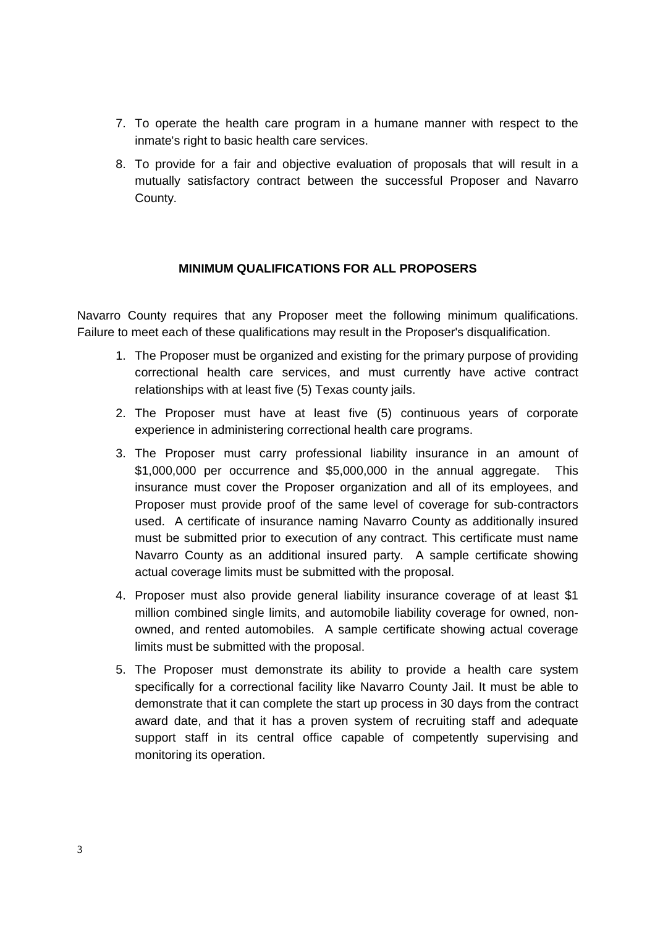- 7. To operate the health care program in a humane manner with respect to the inmate's right to basic health care services.
- 8. To provide for a fair and objective evaluation of proposals that will result in a mutually satisfactory contract between the successful Proposer and Navarro County.

### **MINIMUM QUALIFICATIONS FOR ALL PROPOSERS**

Navarro County requires that any Proposer meet the following minimum qualifications. Failure to meet each of these qualifications may result in the Proposer's disqualification.

- 1. The Proposer must be organized and existing for the primary purpose of providing correctional health care services, and must currently have active contract relationships with at least five (5) Texas county jails.
- 2. The Proposer must have at least five (5) continuous years of corporate experience in administering correctional health care programs.
- 3. The Proposer must carry professional liability insurance in an amount of \$1,000,000 per occurrence and \$5,000,000 in the annual aggregate. This insurance must cover the Proposer organization and all of its employees, and Proposer must provide proof of the same level of coverage for sub-contractors used. A certificate of insurance naming Navarro County as additionally insured must be submitted prior to execution of any contract. This certificate must name Navarro County as an additional insured party. A sample certificate showing actual coverage limits must be submitted with the proposal.
- 4. Proposer must also provide general liability insurance coverage of at least \$1 million combined single limits, and automobile liability coverage for owned, nonowned, and rented automobiles. A sample certificate showing actual coverage limits must be submitted with the proposal.
- 5. The Proposer must demonstrate its ability to provide a health care system specifically for a correctional facility like Navarro County Jail. It must be able to demonstrate that it can complete the start up process in 30 days from the contract award date, and that it has a proven system of recruiting staff and adequate support staff in its central office capable of competently supervising and monitoring its operation.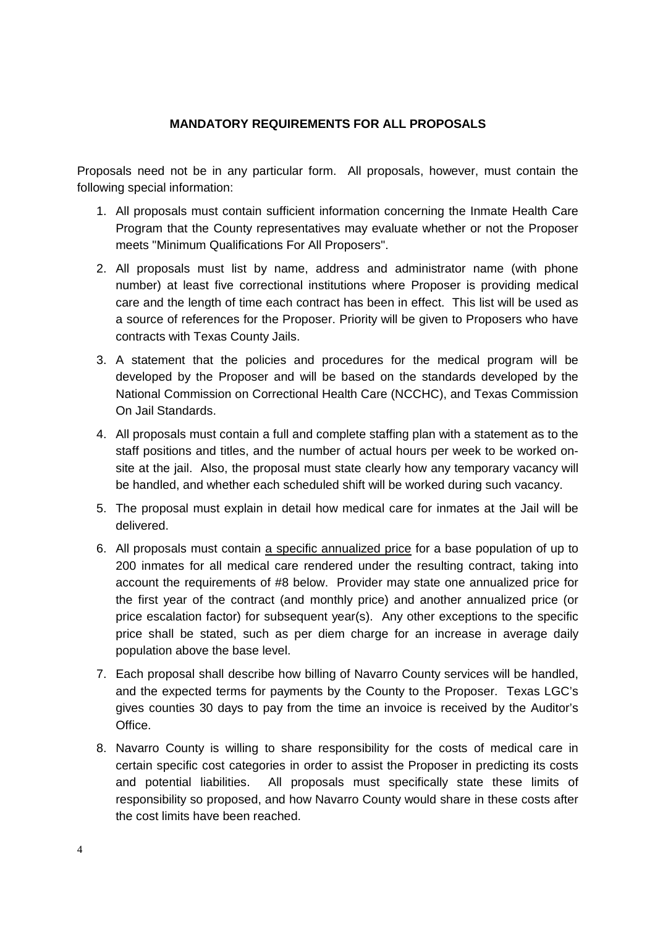#### **MANDATORY REQUIREMENTS FOR ALL PROPOSALS**

Proposals need not be in any particular form. All proposals, however, must contain the following special information:

- 1. All proposals must contain sufficient information concerning the Inmate Health Care Program that the County representatives may evaluate whether or not the Proposer meets "Minimum Qualifications For All Proposers".
- 2. All proposals must list by name, address and administrator name (with phone number) at least five correctional institutions where Proposer is providing medical care and the length of time each contract has been in effect. This list will be used as a source of references for the Proposer. Priority will be given to Proposers who have contracts with Texas County Jails.
- 3. A statement that the policies and procedures for the medical program will be developed by the Proposer and will be based on the standards developed by the National Commission on Correctional Health Care (NCCHC), and Texas Commission On Jail Standards.
- 4. All proposals must contain a full and complete staffing plan with a statement as to the staff positions and titles, and the number of actual hours per week to be worked onsite at the jail. Also, the proposal must state clearly how any temporary vacancy will be handled, and whether each scheduled shift will be worked during such vacancy.
- 5. The proposal must explain in detail how medical care for inmates at the Jail will be delivered.
- 6. All proposals must contain a specific annualized price for a base population of up to 200 inmates for all medical care rendered under the resulting contract, taking into account the requirements of #8 below. Provider may state one annualized price for the first year of the contract (and monthly price) and another annualized price (or price escalation factor) for subsequent year(s). Any other exceptions to the specific price shall be stated, such as per diem charge for an increase in average daily population above the base level.
- 7. Each proposal shall describe how billing of Navarro County services will be handled, and the expected terms for payments by the County to the Proposer. Texas LGC's gives counties 30 days to pay from the time an invoice is received by the Auditor's Office.
- 8. Navarro County is willing to share responsibility for the costs of medical care in certain specific cost categories in order to assist the Proposer in predicting its costs and potential liabilities. All proposals must specifically state these limits of responsibility so proposed, and how Navarro County would share in these costs after the cost limits have been reached.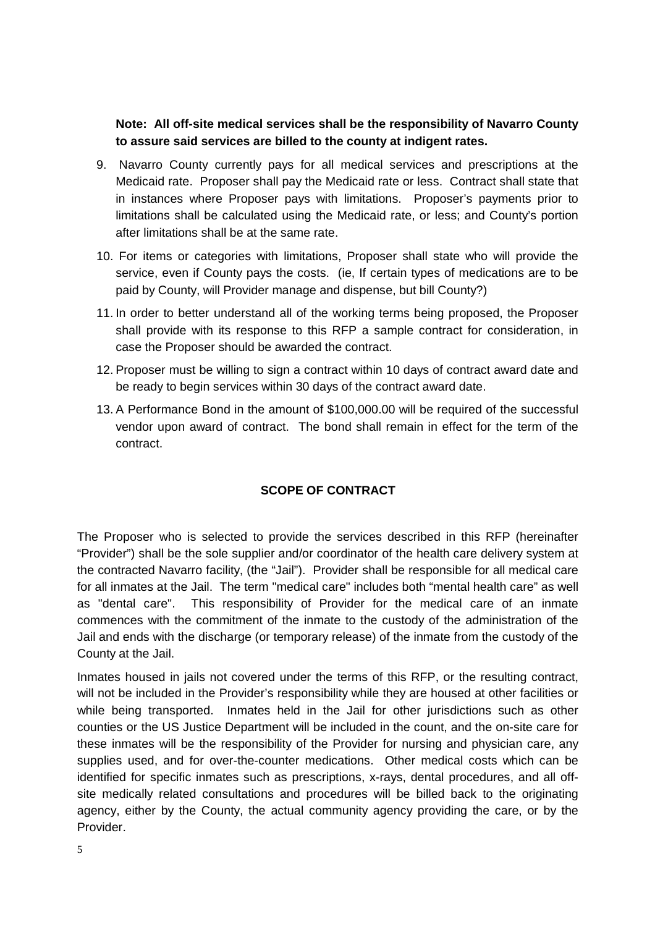### **Note: All off-site medical services shall be the responsibility of Navarro County to assure said services are billed to the county at indigent rates.**

- 9. Navarro County currently pays for all medical services and prescriptions at the Medicaid rate. Proposer shall pay the Medicaid rate or less. Contract shall state that in instances where Proposer pays with limitations. Proposer's payments prior to limitations shall be calculated using the Medicaid rate, or less; and County's portion after limitations shall be at the same rate.
- 10. For items or categories with limitations, Proposer shall state who will provide the service, even if County pays the costs. (ie, If certain types of medications are to be paid by County, will Provider manage and dispense, but bill County?)
- 11. In order to better understand all of the working terms being proposed, the Proposer shall provide with its response to this RFP a sample contract for consideration, in case the Proposer should be awarded the contract.
- 12. Proposer must be willing to sign a contract within 10 days of contract award date and be ready to begin services within 30 days of the contract award date.
- 13. A Performance Bond in the amount of \$100,000.00 will be required of the successful vendor upon award of contract. The bond shall remain in effect for the term of the contract.

# **SCOPE OF CONTRACT**

The Proposer who is selected to provide the services described in this RFP (hereinafter "Provider") shall be the sole supplier and/or coordinator of the health care delivery system at the contracted Navarro facility, (the "Jail"). Provider shall be responsible for all medical care for all inmates at the Jail. The term "medical care" includes both "mental health care" as well as "dental care". This responsibility of Provider for the medical care of an inmate commences with the commitment of the inmate to the custody of the administration of the Jail and ends with the discharge (or temporary release) of the inmate from the custody of the County at the Jail.

Inmates housed in jails not covered under the terms of this RFP, or the resulting contract, will not be included in the Provider's responsibility while they are housed at other facilities or while being transported. Inmates held in the Jail for other jurisdictions such as other counties or the US Justice Department will be included in the count, and the on-site care for these inmates will be the responsibility of the Provider for nursing and physician care, any supplies used, and for over-the-counter medications. Other medical costs which can be identified for specific inmates such as prescriptions, x-rays, dental procedures, and all offsite medically related consultations and procedures will be billed back to the originating agency, either by the County, the actual community agency providing the care, or by the Provider.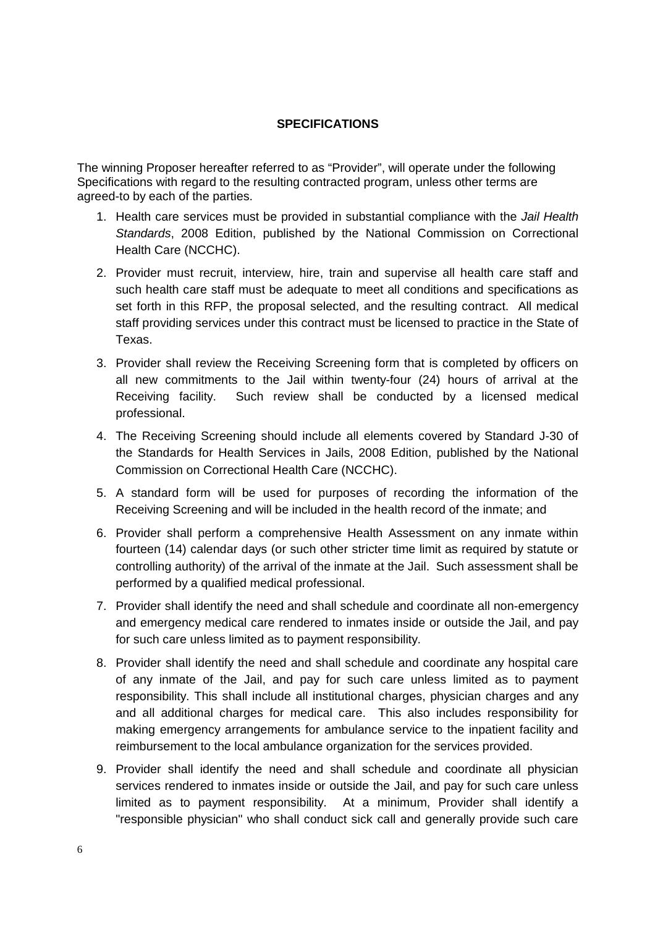#### **SPECIFICATIONS**

The winning Proposer hereafter referred to as "Provider", will operate under the following Specifications with regard to the resulting contracted program, unless other terms are agreed-to by each of the parties.

- 1. Health care services must be provided in substantial compliance with the *Jail Health Standards*, 2008 Edition, published by the National Commission on Correctional Health Care (NCCHC).
- 2. Provider must recruit, interview, hire, train and supervise all health care staff and such health care staff must be adequate to meet all conditions and specifications as set forth in this RFP, the proposal selected, and the resulting contract. All medical staff providing services under this contract must be licensed to practice in the State of Texas.
- 3. Provider shall review the Receiving Screening form that is completed by officers on all new commitments to the Jail within twenty-four (24) hours of arrival at the Receiving facility. Such review shall be conducted by a licensed medical professional.
- 4. The Receiving Screening should include all elements covered by Standard J-30 of the Standards for Health Services in Jails, 2008 Edition, published by the National Commission on Correctional Health Care (NCCHC).
- 5. A standard form will be used for purposes of recording the information of the Receiving Screening and will be included in the health record of the inmate; and
- 6. Provider shall perform a comprehensive Health Assessment on any inmate within fourteen (14) calendar days (or such other stricter time limit as required by statute or controlling authority) of the arrival of the inmate at the Jail. Such assessment shall be performed by a qualified medical professional.
- 7. Provider shall identify the need and shall schedule and coordinate all non-emergency and emergency medical care rendered to inmates inside or outside the Jail, and pay for such care unless limited as to payment responsibility.
- 8. Provider shall identify the need and shall schedule and coordinate any hospital care of any inmate of the Jail, and pay for such care unless limited as to payment responsibility. This shall include all institutional charges, physician charges and any and all additional charges for medical care. This also includes responsibility for making emergency arrangements for ambulance service to the inpatient facility and reimbursement to the local ambulance organization for the services provided.
- 9. Provider shall identify the need and shall schedule and coordinate all physician services rendered to inmates inside or outside the Jail, and pay for such care unless limited as to payment responsibility. At a minimum, Provider shall identify a "responsible physician" who shall conduct sick call and generally provide such care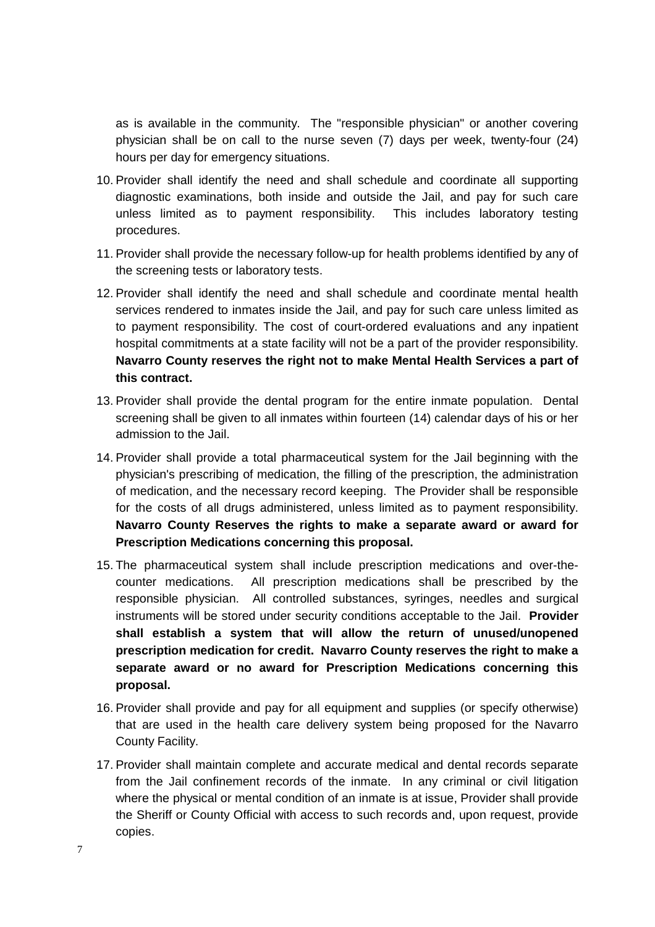as is available in the community. The "responsible physician" or another covering physician shall be on call to the nurse seven (7) days per week, twenty-four (24) hours per day for emergency situations.

- 10. Provider shall identify the need and shall schedule and coordinate all supporting diagnostic examinations, both inside and outside the Jail, and pay for such care unless limited as to payment responsibility. This includes laboratory testing procedures.
- 11. Provider shall provide the necessary follow-up for health problems identified by any of the screening tests or laboratory tests.
- 12. Provider shall identify the need and shall schedule and coordinate mental health services rendered to inmates inside the Jail, and pay for such care unless limited as to payment responsibility. The cost of court-ordered evaluations and any inpatient hospital commitments at a state facility will not be a part of the provider responsibility. **Navarro County reserves the right not to make Mental Health Services a part of this contract.**
- 13. Provider shall provide the dental program for the entire inmate population. Dental screening shall be given to all inmates within fourteen (14) calendar days of his or her admission to the Jail.
- 14. Provider shall provide a total pharmaceutical system for the Jail beginning with the physician's prescribing of medication, the filling of the prescription, the administration of medication, and the necessary record keeping. The Provider shall be responsible for the costs of all drugs administered, unless limited as to payment responsibility. **Navarro County Reserves the rights to make a separate award or award for Prescription Medications concerning this proposal.**
- 15. The pharmaceutical system shall include prescription medications and over-thecounter medications. All prescription medications shall be prescribed by the responsible physician. All controlled substances, syringes, needles and surgical instruments will be stored under security conditions acceptable to the Jail. **Provider shall establish a system that will allow the return of unused/unopened prescription medication for credit. Navarro County reserves the right to make a separate award or no award for Prescription Medications concerning this proposal.**
- 16. Provider shall provide and pay for all equipment and supplies (or specify otherwise) that are used in the health care delivery system being proposed for the Navarro County Facility.
- 17. Provider shall maintain complete and accurate medical and dental records separate from the Jail confinement records of the inmate. In any criminal or civil litigation where the physical or mental condition of an inmate is at issue, Provider shall provide the Sheriff or County Official with access to such records and, upon request, provide copies.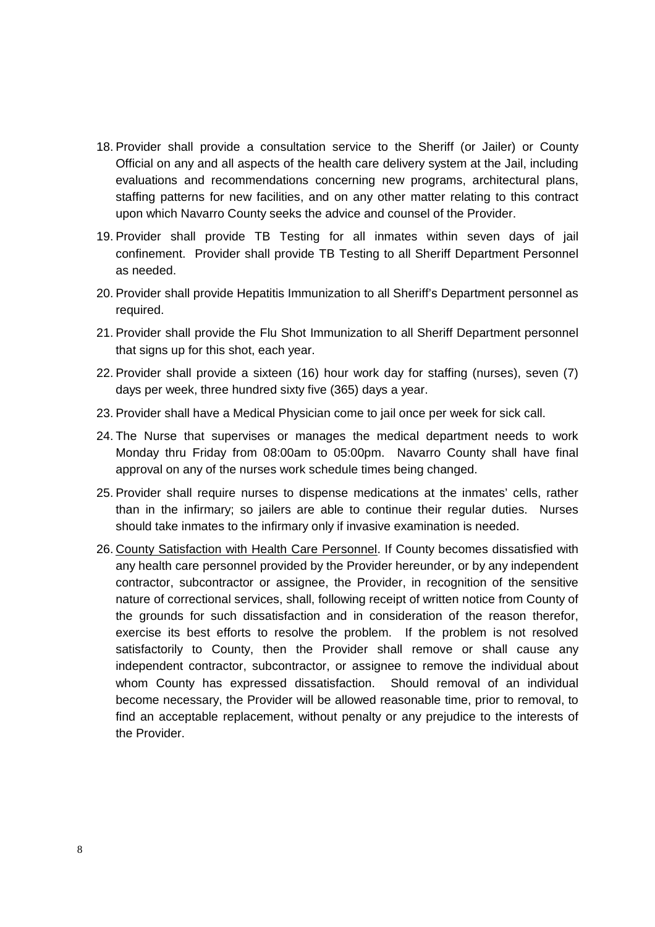- 18. Provider shall provide a consultation service to the Sheriff (or Jailer) or County Official on any and all aspects of the health care delivery system at the Jail, including evaluations and recommendations concerning new programs, architectural plans, staffing patterns for new facilities, and on any other matter relating to this contract upon which Navarro County seeks the advice and counsel of the Provider.
- 19. Provider shall provide TB Testing for all inmates within seven days of jail confinement. Provider shall provide TB Testing to all Sheriff Department Personnel as needed.
- 20. Provider shall provide Hepatitis Immunization to all Sheriff's Department personnel as required.
- 21. Provider shall provide the Flu Shot Immunization to all Sheriff Department personnel that signs up for this shot, each year.
- 22. Provider shall provide a sixteen (16) hour work day for staffing (nurses), seven (7) days per week, three hundred sixty five (365) days a year.
- 23. Provider shall have a Medical Physician come to jail once per week for sick call.
- 24. The Nurse that supervises or manages the medical department needs to work Monday thru Friday from 08:00am to 05:00pm. Navarro County shall have final approval on any of the nurses work schedule times being changed.
- 25. Provider shall require nurses to dispense medications at the inmates' cells, rather than in the infirmary; so jailers are able to continue their regular duties. Nurses should take inmates to the infirmary only if invasive examination is needed.
- 26. County Satisfaction with Health Care Personnel. If County becomes dissatisfied with any health care personnel provided by the Provider hereunder, or by any independent contractor, subcontractor or assignee, the Provider, in recognition of the sensitive nature of correctional services, shall, following receipt of written notice from County of the grounds for such dissatisfaction and in consideration of the reason therefor, exercise its best efforts to resolve the problem. If the problem is not resolved satisfactorily to County, then the Provider shall remove or shall cause any independent contractor, subcontractor, or assignee to remove the individual about whom County has expressed dissatisfaction. Should removal of an individual become necessary, the Provider will be allowed reasonable time, prior to removal, to find an acceptable replacement, without penalty or any prejudice to the interests of the Provider.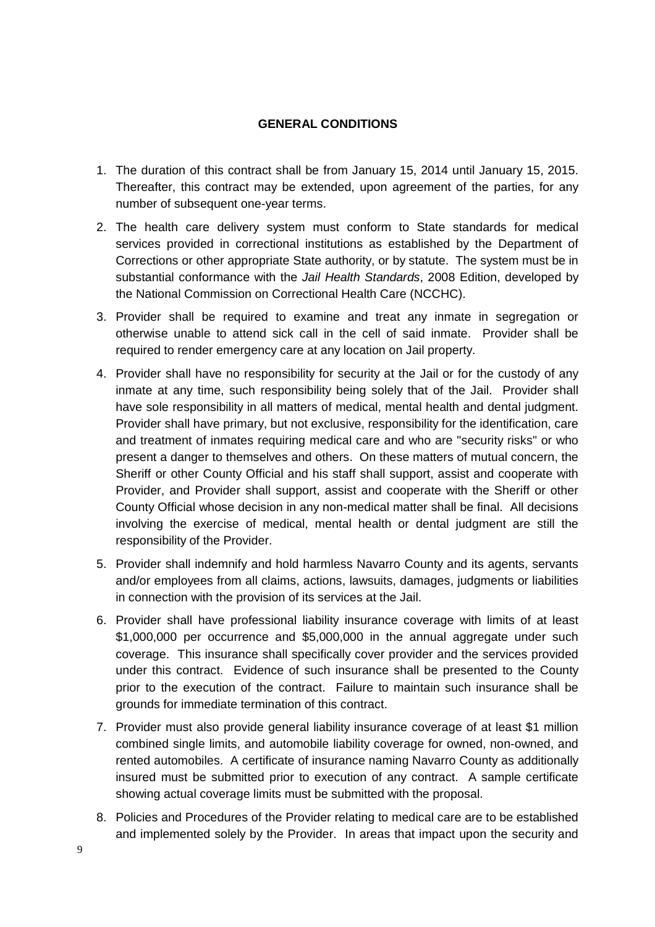#### **GENERAL CONDITIONS**

- 1. The duration of this contract shall be from January 15, 2014 until January 15, 2015. Thereafter, this contract may be extended, upon agreement of the parties, for any number of subsequent one-year terms.
- 2. The health care delivery system must conform to State standards for medical services provided in correctional institutions as established by the Department of Corrections or other appropriate State authority, or by statute. The system must be in substantial conformance with the *Jail Health Standards*, 2008 Edition, developed by the National Commission on Correctional Health Care (NCCHC).
- 3. Provider shall be required to examine and treat any inmate in segregation or otherwise unable to attend sick call in the cell of said inmate. Provider shall be required to render emergency care at any location on Jail property.
- 4. Provider shall have no responsibility for security at the Jail or for the custody of any inmate at any time, such responsibility being solely that of the Jail. Provider shall have sole responsibility in all matters of medical, mental health and dental judgment. Provider shall have primary, but not exclusive, responsibility for the identification, care and treatment of inmates requiring medical care and who are "security risks" or who present a danger to themselves and others. On these matters of mutual concern, the Sheriff or other County Official and his staff shall support, assist and cooperate with Provider, and Provider shall support, assist and cooperate with the Sheriff or other County Official whose decision in any non-medical matter shall be final. All decisions involving the exercise of medical, mental health or dental judgment are still the responsibility of the Provider.
- 5. Provider shall indemnify and hold harmless Navarro County and its agents, servants and/or employees from all claims, actions, lawsuits, damages, judgments or liabilities in connection with the provision of its services at the Jail.
- 6. Provider shall have professional liability insurance coverage with limits of at least \$1,000,000 per occurrence and \$5,000,000 in the annual aggregate under such coverage. This insurance shall specifically cover provider and the services provided under this contract. Evidence of such insurance shall be presented to the County prior to the execution of the contract. Failure to maintain such insurance shall be grounds for immediate termination of this contract.
- 7. Provider must also provide general liability insurance coverage of at least \$1 million combined single limits, and automobile liability coverage for owned, non-owned, and rented automobiles. A certificate of insurance naming Navarro County as additionally insured must be submitted prior to execution of any contract. A sample certificate showing actual coverage limits must be submitted with the proposal.
- 8. Policies and Procedures of the Provider relating to medical care are to be established and implemented solely by the Provider. In areas that impact upon the security and